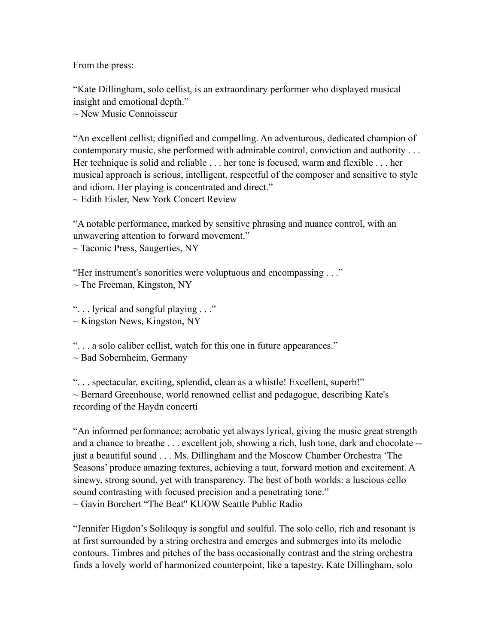From the press:

"Kate Dillingham, solo cellist, is an extraordinary performer who displayed musical insight and emotional depth."

~ New Music Connoisseur

"An excellent cellist; dignified and compelling. An adventurous, dedicated champion of contemporary music, she performed with admirable control, conviction and authority . . . Her technique is solid and reliable . . . her tone is focused, warm and flexible . . . her musical approach is serious, intelligent, respectful of the composer and sensitive to style and idiom. Her playing is concentrated and direct."  $\sim$  Edith Eisler, New York Concert Review

"A notable performance, marked by sensitive phrasing and nuance control, with an unwavering attention to forward movement."

 $\sim$  Taconic Press, Saugerties, NY

"Her instrument's sonorities were voluptuous and encompassing . . ."

 $\sim$  The Freeman, Kingston, NY

". . . lyrical and songful playing . . ."

 $\sim$  Kingston News, Kingston, NY

". . . a solo caliber cellist, watch for this one in future appearances."

 $\sim$  Bad Sobernheim, Germany

". . . spectacular, exciting, splendid, clean as a whistle! Excellent, superb!" ~ Bernard Greenhouse, world renowned cellist and pedagogue, describing Kate's recording of the Haydn concerti

"An informed performance; acrobatic yet always lyrical, giving the music great strength and a chance to breathe . . . excellent job, showing a rich, lush tone, dark and chocolate - just a beautiful sound . . . Ms. Dillingham and the Moscow Chamber Orchestra 'The Seasons' produce amazing textures, achieving a taut, forward motion and excitement. A sinewy, strong sound, yet with transparency. The best of both worlds: a luscious cello sound contrasting with focused precision and a penetrating tone." ~ Gavin Borchert "The Beat" KUOW Seattle Public Radio

"Jennifer Higdon's Soliloquy is songful and soulful. The solo cello, rich and resonant is at first surrounded by a string orchestra and emerges and submerges into its melodic contours. Timbres and pitches of the bass occasionally contrast and the string orchestra finds a lovely world of harmonized counterpoint, like a tapestry. Kate Dillingham, solo